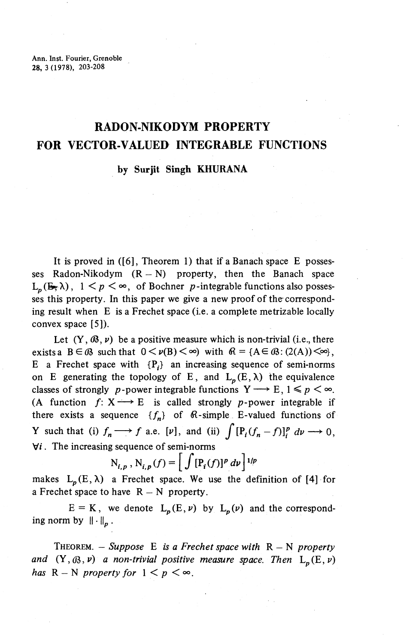Ann. Inst. Fourier, Grenoble 28, 3(1978), 203-208

# **RADON-NIKODYM PROPERTY FOR VECTOR-VALUED INTEGRABLE FUNCTIONS**

### **by Surjit Singh KHURANA**

It is proved in ([6], Theorem 1) that if a Banach space E possesses Radon-Nikodym  $(R - N)$  property, then the Banach space  $L_p(E, \lambda)$ ,  $1 \leq p \leq \infty$ , of Bochner *p*-integrable functions also possesses this property. In this paper we give a new proof of the corresponding result when E is a Frechet space (i.e. a complete metrizable locally convex space [5]).

Let  $(Y,\mathcal{B},\nu)$  be a positive measure which is non-trivial (i.e., there exists a  $B \in \mathcal{B}$  such that  $0 \lt v(B) \lt \infty$ ) with  $\mathcal{B} = \{A \in \mathcal{B} : (2(A)) \lt \infty\}$ , E a Frechet space with  $\{P_i\}$  an increasing sequence of semi-norms on E generating the topology of E, and  $L_p(E,\lambda)$  the equivalence classes of strongly *p*-power integrable functions  $Y \rightarrow E, 1 \leq p < \infty$ . (A function  $f: X \longrightarrow E$  is called strongly p-power integrable if there exists a sequence  ${f_n}$  of  $\mathbb{R}$ -simple E-valued functions of Y such that (i)  $f_n \longrightarrow f$  a.e. [v], and (ii)  $\int [P_i(f_n - f)]_i^p dv \longrightarrow 0$ ,  $\forall i$ . The increasing sequence of semi-norms

$$
N_{i,p}
$$
,  $N_{i,p}(f) = \left[ \int [\mathbf{P}_i(f)]^p \, dv \right]^{1/p}$ 

makes  $L_p(E, \lambda)$  a Frechet space. We use the definition of [4] for a Frechet space to have  $R - N$  property.

 $E = K$ , we denote  $L_p(E, \nu)$  by  $L_p(\nu)$  and the corresponding norm by  $\|\cdot\|_p$ .

THEOREM. — *Suppose* E *is a Frechet space mth* R — N *property* and  $(Y, \mathcal{B}, v)$  a non-trivial positive measure space. Then  $L_n(E, v)$ *has*  $R - N$  *property for*  $1 < p < \infty$ .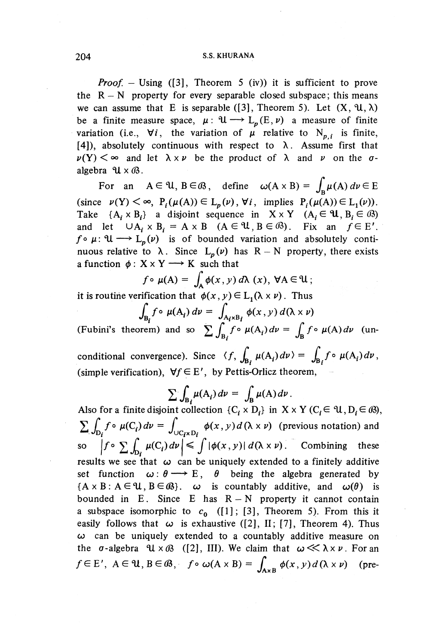#### 204 S.S. KHURANA

*Proof.* – Using ([3], Theorem 5 (iv)) it is sufficient to prove the  $R - N$  property for every separable closed subspace; this means we can assume that E is separable ([3], Theorem 5). Let  $(X, \mathcal{U}, \lambda)$ be a finite measure space,  $\mu: \mathcal{U} \longrightarrow L_p(E,\nu)$  a measure of finite variation (i.e.,  $\forall i$ , the variation of  $\mu$  relative to N<sub>p,i</sub> is finite, [4]), absolutely continuous with respect to  $\lambda$ . Assume first that  $\nu(Y) \leq \infty$  and let  $\lambda \times \nu$  be the product of  $\lambda$  and  $\nu$  on the  $\sigma$ algebra  $\mathcal{U} \times \mathcal{B}$ .

For an  $A \in \mathcal{U}$ ,  $B \in \mathcal{B}$ , define  $\omega(A \times B) = \int_{\mathbf{R}} \mu(A) d\nu \in E$ (since  $\nu(Y) \leq \infty$ ,  $P_i(\mu(A)) \in L_p(\nu)$ ,  $\forall i$ , implies  $P_i(\mu(A)) \in L_1(\nu)$ ).<br>
Take  $\{A_i \times B_i\}$  a disjoint sequence in  $X \times Y$   $(A_i \in \mathcal{U}, B_i \in \mathcal{B})$ Take  $\{A_i \times B_i\}$  a disjoint sequence in  $X \times Y$   $(A_i \in \mathcal{U}, B_i \in \mathcal{B})$ <br>and let  $\cup A_i \times B_i = A \times B$   $(A \in \mathcal{U}, B \in \mathcal{B})$ . Fix an  $f \in E'$ .  $f \circ \mu: \mathcal{U} \longrightarrow L_p(\nu)$  is of bounded variation and absolutely continuous relative to  $\lambda$ . Since  $L_p(\nu)$  has  $R - N$  property, there exists a function  $\phi: X \times Y \longrightarrow K$  such that

$$
f \circ \mu(A) = \int_{A} \phi(x, y) d\lambda(x), \ \forall A \in \mathcal{U};
$$

it is routine verification that  $\phi(x, y) \in L_1(\lambda \times \nu)$ . Thus

$$
\int_{B_i} f \circ \mu(A_i) \, dv = \int_{A_i \times B_i} \phi(x, y) \, d(\lambda \times \nu)
$$

(Fubini's theorem) and so  $\sum_{n=1}^{\infty} \int_{B_1} f \circ \mu(A_i) d\nu = \int_{B_1} f \circ \mu(A) d\nu$  (unconditional convergence). Since  $\langle f, \int_{\mathbf{R}_1} \mu(A_i) d\nu \rangle = \int_{\mathbf{R}_2} f \circ \mu(A_i) d\nu$ , (simple verification),  $\forall f \in E'$ , by Pettis-Orlicz theorem,

$$
\sum \int_{B_i} \mu(A_i) \, dv = \int_B \mu(A) \, dv \, .
$$

Also for a finite disjoint collection  $\{C_i \times D_i\}$  in  $X \times Y$   $(C_i \in \mathcal{U}, D_i \in \mathcal{B})$ ,  $\sum \int_{D_f} f \circ \mu(C_i) dv = \int_{\cup C_f \times D_f} \phi(x, y) d(\lambda \times \nu)$  (previous notation) and so  $\left|f \circ \sum \int_{D_i} \mu(C_i) d\nu\right| \leq \int |\phi(x,y)| d(\lambda \times \nu)$ . Combining these results we see that  $\omega$  can be uniquely extended to a finitely additive set function  $\omega: \theta \longrightarrow E$ ,  $\theta$  being the algebra generated by  ${A \times B : A \in \mathcal{U}, B \in \mathcal{B}}.$   $\omega$  is countably additive, and  $\omega(\theta)$  is bounded in E. Since E has  $R - N$  property it cannot contain a subspace isomorphic to  $c_0$  ([1]; [3], Theorem 5). From this it easily follows that  $\omega$  is exhaustive ([2], II; [7], Theorem 4). Thus  $\omega$  can be uniquely extended to a countably additive measure on the  $\sigma$ -algebra  $\mathcal{U} \times \mathcal{B}$  ([2], III). We claim that  $\omega \ll \lambda \times \nu$ . For an  $f \in E'$ ,  $A \in \mathcal{U}$ ,  $B \in \mathcal{B}$ ,  $f \circ \omega(A \times B) = \int_{A \times B} \phi(x, y) d(\lambda \times \nu)$  (pre-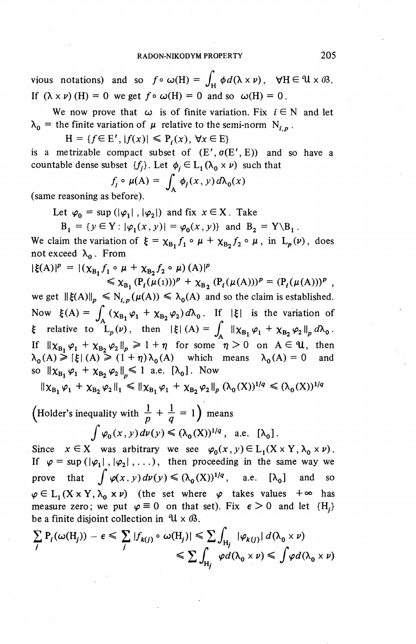vious notations) and so  $f \circ \omega(H) = \int_H \phi d(\lambda \times \nu)$ ,  $\forall H \in \mathcal{U} \times \mathcal{B}$ . If  $(\lambda \times \nu)$  (H) = 0 we get  $f \circ \omega(H) = 0$  and so  $\omega(H) = 0$ . vious notations) and so  $f \circ \omega(H) = \int_H \phi d(\lambda \times \nu)$ ,  $\forall H \in$ <br>
If  $(\lambda \times \nu)$  (*H*) = 0 we get  $f \circ \omega(H) = 0$  and so  $\omega(H) = 0$ .<br>
We now prove that  $\omega$  is of finite variation. Fix  $i \in N$ <br>  $\lambda_0$  = the finite variation of  $\mu$  rela

We now prove that  $\omega$  is of finite variation. Fix  $i \in N$  and let  $\lambda_0$  = the finite variation of  $\mu$  relative to the semi-norm  $N_{i,p}$ .<br>  $H = \{f \in E', |f(x)| \leq P_i(x), \forall x \in E\}$ 

is a metrizable compact subset of  $(E', \sigma(E', E))$  and so have a countable dense subset  $\{f_i\}$ . Let  $\phi_i \in L_1(\lambda_0 \times \nu)$  such that

$$
f_j \circ \mu(A) = \int_A \phi_j(x, y) d\lambda_0(x)
$$

(same reasoning as before).

Let  $\varphi_0 = \sup (|\varphi_1|, |\varphi_2|)$  and fix  $x \in X$ . Take

$$
B_1 = \{y \in Y : |\varphi_1(x, y)| = \varphi_0(x, y)\}\
$$
and  $B_2 = Y \setminus B_1$ .

We claim the variation of  $\xi = \chi_{B_1} f_1 \circ \mu + \chi_{B_2} f_2 \circ \mu$ , in  $L_p(\nu)$ , does not exceed  $\lambda_0$ . From

$$
|\xi(A)|^p = |(\chi_{B_1} f_1 \circ \mu + \chi_{B_2} f_2 \circ \mu)(A)|^p
$$
  
\$\leq \chi\_{B\_1} (P\_i(\mu(1)))^p + \chi\_{B\_2} (P\_i(\mu(A)))^p = (P\_i(\mu(A)))^p ,

we get  $\|\xi(A)\|_p \le N_{i,p}(\mu(A)) \le \lambda_0(A)$  and so the claim is established.  $\leq \chi_{B_1}(P_i(\mu(1)))^p + \chi_{B_2}(P_i(\mu(A)))^p = (P_i(\mu(A)))^p$ ,<br>we get  $\|\xi(A)\|_p \leq N_{i,p}(\mu(A)) \leq \lambda_0(A)$  and so the claim is established.<br>Now  $\xi(A) = \int_A (\chi_{B_1}\varphi_1 + \chi_{B_2}\varphi_2) d\lambda_0$ . If  $|\xi|$  is the variation of  ${\xi}$  relative to  $L_p(\nu)$ , then  ${\xi} |(A) = \int_A ||\chi_{B_1} \varphi_1 + \chi_{B_2} \varphi_2||_p d\lambda_0$ . If  $\|\chi_{\text{B}}\|\varphi_1 + \chi_{\text{B}}\|\varphi_2\|_p \geq 1 + \eta$  for some  $\eta > 0$  on  $A \in \mathcal{U}$ , then  $\lambda_0(A) \geq |\xi| (A) \geq (1 + \eta) \lambda_0(A)$  which means  $\lambda_0(A) = 0$  and  $\kappa_0(A) \geq |\xi| (A) \geq (1 + \eta) \kappa_0(A)$  which<br>so  $\|\chi_B, \varphi_1 + \chi_B, \varphi_2\| \leq 1$  a.e.  $[\lambda_0]$ . Now

 $\|\chi_{\text{B}_1}\,\varphi_1\,+\,\chi_{\text{B}_2}\,\varphi_2\,\|_1 \leqslant \|\chi_{\text{B}_1}\,\varphi_1\,+\,\chi_{\text{B}_2}\,\varphi_2\,\|_p\;(\lambda_0\,(\text{X}))^{1/q} \leqslant (\lambda_0\,(\text{X}))^{1/q}$ 

(Holder's inequality with  $\frac{1}{n} + \frac{1}{n} = 1$ ) means  $\int \varphi_0(x,y)d\nu(y)\leq (\lambda_0(X))^{1/q}$ , a.e.  $[\lambda_0]$ .  $||X_{B_1} \varphi_1 + X_{B_2} \varphi_2||_1 \le ||X_{B_1} \varphi_1 + X_{B_2} \varphi_2||_p (\Lambda_0(X))^{\frac{1}{2}} \le (\Lambda_0(X))^{\frac{1}{2}}$ <br>
(Holder's inequality with  $\frac{1}{p} + \frac{1}{q} = 1$ ) means<br>  $\int \varphi_0(x, y) dv(y) \le (\lambda_0(X))^{\frac{1}{q}}$ , a.e.  $[\lambda_0]$ .<br>
Since  $x \in X$  was arbitrary we

Since  $x \in X$  was arbitrary we see  $\varphi_0(x, y) \in L_1(X \times Y, \lambda_0 \times \nu)$ <br>If  $\varphi = \sup(|\varphi_1|, |\varphi_2|, \ldots)$ , then proceeding in the same way we<br>prove that  $\int \varphi(x, y) d\nu(y) \le (\lambda_0(X))^{1/q}$ , a.e.  $[\lambda_0]$  and so  $\varphi \in L_1(X \times Y, \lambda_0 \times \nu)$  (the set where  $\varphi$  takes values  $+\infty$  has measure zero; we put  $\varphi \equiv 0$  on that set). Fix  $\epsilon > 0$  and let  ${H<sub>i</sub>}$ be a finite disjoint collection in  $\mathcal{U} \times \mathcal{B}$ .

$$
\sum_{j} P_{i}(\omega(H_{j})) - \epsilon \leq \sum_{j} |f_{k(j)} \circ \omega(H_{j})| \leq \sum_{H_{j}} \int_{H_{j}} |\varphi_{k(j)}| d(\lambda_{0} \times \nu)
$$
  

$$
\leq \sum_{H_{j}} \varphi d(\lambda_{0} \times \nu) \leq \int \varphi d(\lambda_{0} \times \nu)
$$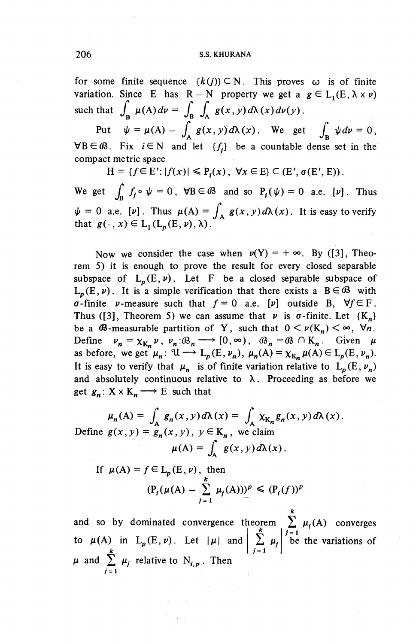for some finite sequence  ${k(j)} \subset N$ . This proves  $\omega$  is of finite variation. Since E has  $R - N$  property we get a  $g \in L_1(E, \lambda \times \nu)$ such that  $\int_{\mathbf{R}} \mu(A) d\nu = \int_{\mathbf{R}} \int_{A} g(x,y) d\lambda(x) d\nu(y)$ .

Put  $\psi = \mu(A) - \int_A^B g(x, y) d\lambda(x)$ . We get  $\int_B \psi dv = 0$ ,  $\forall B \in \mathcal{B}$ . Fix  $i \in \mathbb{N}$  and let  $\{f_i\}$  be a countable dense set in the compact metric space

 $H = \{f \in E': |f(x)| \leq P(x), \forall x \in E\} \subset (E', \sigma(E', E)).$ 

We get  $\int_{\mathbb{R}} f_i \circ \psi = 0$ ,  $\forall B \in \mathbb{G}$  and so  $P_i(\psi) = 0$  a.e.  $[\nu]$ . Thus  $\psi = 0$  a.e. [v]. Thus  $\mu(A) = \int_{A}^{A} g(x,y)d\lambda(x)$ . It is easy to verify that  $g(\cdot,x)\in L_1(L_p(E,\nu),\lambda)$ .

Now we consider the case when  $v(Y) = +\infty$ . By ([3], Theorem 5) it is enough to prove the result for every closed separable subspace of  $L_n(E,\nu)$ . Let F be a closed separable subspace of  $L_p(E, \nu)$ . It is a simple verification that there exists a  $B \in \mathcal{B}$  with  $\sigma$ -finite  $\nu$ -measure such that  $f=0$  a.e. [v] outside B,  $\forall f \in F$ . Thus ([3], Theorem 5) we can assume that  $\nu$  is  $\sigma$ -finite. Let  $\{K_n\}$ be a  $\mathcal{B}$ -measurable partition of Y, such that  $0 < \nu(K_n) < \infty$ ,  $\forall n$ . be a **0**5-measurable partition of Y, such that  $0 < \nu(K_n) < \infty$ ,  $\nabla n$ .<br>Define  $\nu_n = \chi_{K_n} \nu$ ,  $\nu_n : \mathcal{B}_n \longrightarrow [0, \infty)$ ,  $\mathcal{B}_n = \mathcal{B} \cap K_n$ . Given  $\mu$ befine  $\nu_n - \chi_{K_n} \nu$ ,  $\nu_n \to \infty$ ,  $\nu_n \to (\infty, \infty)$ ,  $\nu_n \to \infty$   $\to \infty$ ,  $\nu_n$ . Given  $\mu$ <br>as before, we get  $\mu_n : \mathcal{U} \to L_p(E, \nu_n)$ ,  $\mu_n(A) = \chi_{K_n} \mu(A) \in L_p(E, \nu_n)$ . It is easy to verify that  $\mu_n$  is of finite variation relative to  $L_p(E, \nu_n)$ and absolutely continuous relative to  $\lambda$ . Proceeding as before we

get 
$$
g_n: X \times K_n \longrightarrow E
$$
 such that  
\n
$$
\mu_n(A) = \int_A g_n(x, y) d\lambda(x) = \int_A \chi_{K_n} g_n(x, y) d\lambda(x).
$$
\nDefine  $g(x, y) = g_n(x, y)$ ,  $y \in K_n$ , we claim  
\n
$$
\mu(A) = \int_A g(x, y) d\lambda(x).
$$

If 
$$
\mu(A) = f \in L_p(E, \nu)
$$
, then  
\n
$$
(\mathbf{P}_i(\mu(A) - \sum_{j=1}^k \mu_j(A)))^p \leq (\mathbf{P}_i(f))^p
$$

and so by dominated convergence theorem  $\sum_{i=1}^{k} \mu_i(A)$  converges<br>
to  $\mu(A)$  in L<sub>p</sub>(E, *v*). Let  $|\mu|$  and  $\sum_{j=1}^{k} \mu_j |\stackrel{j=1}{\text{be}}$  the variations of  $\mu$  and  $\sum^k \mu_j$  relative to  $N_{i,p}$ . Then  $j = 1$  $\int \frac{1}{2}$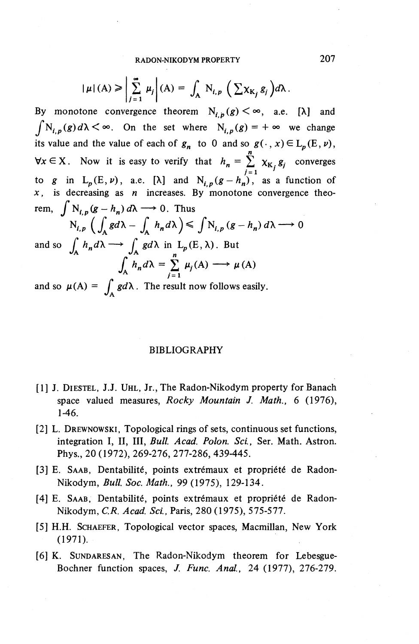RADON-NIKODYM PROPERTY 207

$$
|\mu|(A) \geqslant \left| \sum_{j=1}^{\infty} \mu_j \right| (A) = \int_A N_{i,p} \left( \sum \chi_{K_j} g_j \right) d\lambda.
$$

By monotone convergence theorem  $N_{i,p}(g) < \infty$ , a.e. [ $\lambda$ ] and  $\int_{i,p}^{n}(g)d\lambda < \infty$ . On the set where  $N_{i,p}(g)=+\infty$  we change its value and the value of each of  $g_n$  to 0 and so  $g(\cdot, x) \in L_p(E, \nu)$ ,  $\forall x \in X$ . Now it is easy to verify that  $h_n = \sum_{k=1}^n x_{k, k} g_k$  converges  $j=1$ to g in  $L_p(E,\nu)$ , a.e.  $[\lambda]$  and  $N_{i,p}(g-h_n)$ , as a function of  $x$ , is decreasing as  $n$  increases. By monotone convergence theo-

rem, 
$$
\int N_{i,p}(g - h_n) d\lambda \longrightarrow 0
$$
. Thus  
\n
$$
N_{i,p} \left( \int_A g d\lambda - \int_A h_n d\lambda \right) \le \int N_{i,p}(g - h_n) d\lambda \longrightarrow 0
$$
\nand so  $\int_A h_n d\lambda \longrightarrow \int_A g d\lambda$  in  $L_p(E, \lambda)$ . But  
\n
$$
\int_A h_n d\lambda = \sum_{j=1}^n \mu_j(A) \longrightarrow \mu(A)
$$

$$
\int_{A} h_n d\lambda = \sum_{j=1}^{\infty} \mu_j(A) \longrightarrow \mu(A)
$$

 $\int_{A}^{A} h_n d\lambda = \sum_{j=1}^{n} \mu_j(A) \longrightarrow \mu(A)$ <br>and so  $\mu(A) = \int_{A} g d\lambda$ . The result now follows easily.

#### BIBLIOGRAPHY

- [1] J. DIESTEL, J.J. UHL, Jr., The Radon-Nikodym property for Banach space valued measures, *Rocky Mountain J. Math., 6* (1976), 1-46.
- [2] L. DREWNOWSKI, Topological rings of sets, continuous set functions, integration I, II, III, *Bull Acad. Polon. Sci.,* Ser. Math. Astron. Phys., 20 (1972), 269-276, 277-286, 439-445.
- [3] E. SAAB, Dentabilité, points extrémaux et propriété de Radon-Nikodym, *Bull Soc. Math.,* 99 (1975), 129-134.
- [4] E. SAAB, Dentabilité, points extrémaux et propriété de Radon-Nikodym, *C.R. Acad. Set,* Paris, 280 (1975), 575-577.
- [5] H.H. SCHAEFER, Topological vector spaces, Macmillan, New York (1971).
- [6] K. SUNDARESAN, The Radon-Nikodym theorem for Lebesgue-Bochner function spaces, *J. Func. Anal.,* 24 (1977), 276-279.